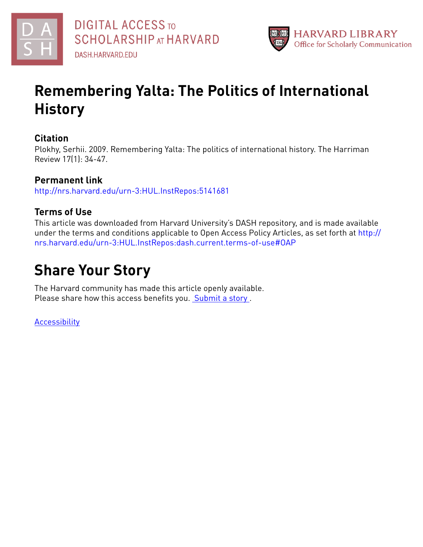



# **Remembering Yalta: The Politics of International History**

## **Citation**

Plokhy, Serhii. 2009. Remembering Yalta: The politics of international history. The Harriman Review 17(1): 34-47.

## **Permanent link**

<http://nrs.harvard.edu/urn-3:HUL.InstRepos:5141681>

## **Terms of Use**

This article was downloaded from Harvard University's DASH repository, and is made available under the terms and conditions applicable to Open Access Policy Articles, as set forth at [http://](http://nrs.harvard.edu/urn-3:HUL.InstRepos:dash.current.terms-of-use#OAP) [nrs.harvard.edu/urn-3:HUL.InstRepos:dash.current.terms-of-use#OAP](http://nrs.harvard.edu/urn-3:HUL.InstRepos:dash.current.terms-of-use#OAP)

# **Share Your Story**

The Harvard community has made this article openly available. Please share how this access benefits you. [Submit](http://osc.hul.harvard.edu/dash/open-access-feedback?handle=&title=Remembering%20Yalta:%20The%20Politics%20of%20International%20History&community=1/1&collection=1/2&owningCollection1/2&harvardAuthors=f40bd127dc98b00cd4339c4f7d4bd6ba&departmentSlavic%20Languages%20and%20Literatures) a story .

**[Accessibility](https://dash.harvard.edu/pages/accessibility)**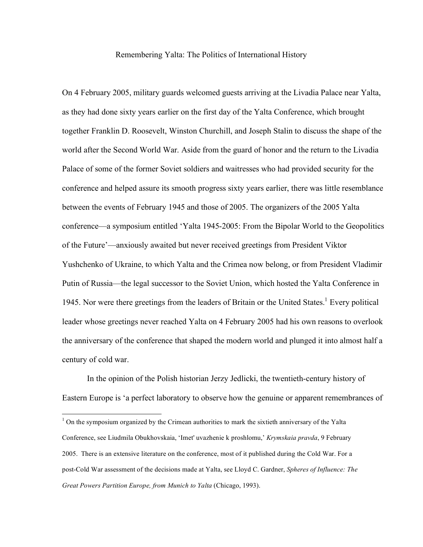Remembering Yalta: The Politics of International History

On 4 February 2005, military guards welcomed guests arriving at the Livadia Palace near Yalta, as they had done sixty years earlier on the first day of the Yalta Conference, which brought together Franklin D. Roosevelt, Winston Churchill, and Joseph Stalin to discuss the shape of the world after the Second World War. Aside from the guard of honor and the return to the Livadia Palace of some of the former Soviet soldiers and waitresses who had provided security for the conference and helped assure its smooth progress sixty years earlier, there was little resemblance between the events of February 1945 and those of 2005. The organizers of the 2005 Yalta conference—a symposium entitled 'Yalta 1945-2005: From the Bipolar World to the Geopolitics of the Future'—anxiously awaited but never received greetings from President Viktor Yushchenko of Ukraine, to which Yalta and the Crimea now belong, or from President Vladimir Putin of Russia—the legal successor to the Soviet Union, which hosted the Yalta Conference in 1945. Nor were there greetings from the leaders of Britain or the United States.<sup>1</sup> Every political leader whose greetings never reached Yalta on 4 February 2005 had his own reasons to overlook the anniversary of the conference that shaped the modern world and plunged it into almost half a century of cold war.

In the opinion of the Polish historian Jerzy Jedlicki, the twentieth-century history of Eastern Europe is 'a perfect laboratory to observe how the genuine or apparent remembrances of

 $\frac{1}{1}$  $1$  On the symposium organized by the Crimean authorities to mark the sixtieth anniversary of the Yalta Conference, see Liudmila Obukhovskaia, 'Imet' uvazhenie k proshlomu,' *Krymskaia pravda*, 9 February 2005. There is an extensive literature on the conference, most of it published during the Cold War. For a post-Cold War assessment of the decisions made at Yalta, see Lloyd C. Gardner, *Spheres of Influence: The Great Powers Partition Europe, from Munich to Yalta* (Chicago, 1993).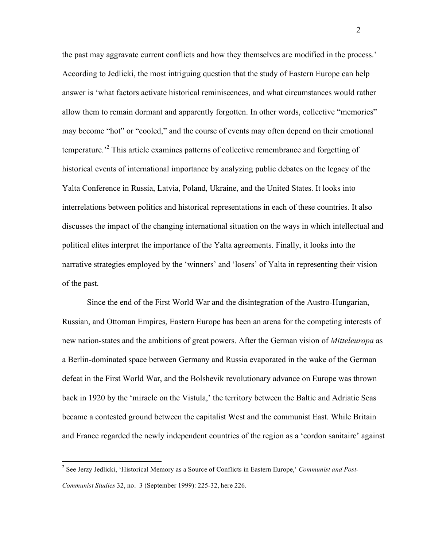the past may aggravate current conflicts and how they themselves are modified in the process.' According to Jedlicki, the most intriguing question that the study of Eastern Europe can help answer is 'what factors activate historical reminiscences, and what circumstances would rather allow them to remain dormant and apparently forgotten. In other words, collective "memories" may become "hot" or "cooled," and the course of events may often depend on their emotional temperature.<sup>2</sup> This article examines patterns of collective remembrance and forgetting of historical events of international importance by analyzing public debates on the legacy of the Yalta Conference in Russia, Latvia, Poland, Ukraine, and the United States. It looks into interrelations between politics and historical representations in each of these countries. It also discusses the impact of the changing international situation on the ways in which intellectual and political elites interpret the importance of the Yalta agreements. Finally, it looks into the narrative strategies employed by the 'winners' and 'losers' of Yalta in representing their vision of the past.

Since the end of the First World War and the disintegration of the Austro-Hungarian, Russian, and Ottoman Empires, Eastern Europe has been an arena for the competing interests of new nation-states and the ambitions of great powers. After the German vision of *Mitteleuropa* as a Berlin-dominated space between Germany and Russia evaporated in the wake of the German defeat in the First World War, and the Bolshevik revolutionary advance on Europe was thrown back in 1920 by the 'miracle on the Vistula,' the territory between the Baltic and Adriatic Seas became a contested ground between the capitalist West and the communist East. While Britain and France regarded the newly independent countries of the region as a 'cordon sanitaire' against

 $\frac{1}{2}$ <sup>2</sup> See Jerzy Jedlicki, 'Historical Memory as a Source of Conflicts in Eastern Europe,' *Communist and Post-Communist Studies* 32, no. 3 (September 1999): 225-32, here 226.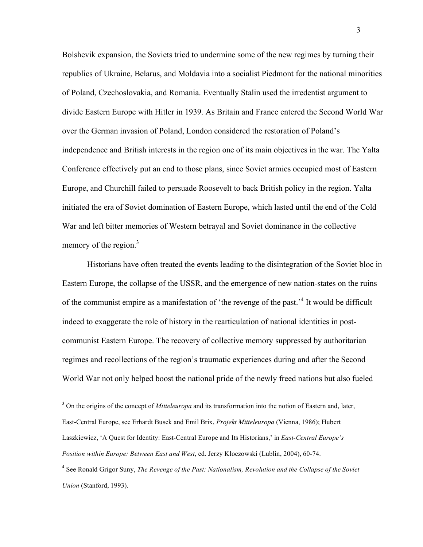Bolshevik expansion, the Soviets tried to undermine some of the new regimes by turning their republics of Ukraine, Belarus, and Moldavia into a socialist Piedmont for the national minorities of Poland, Czechoslovakia, and Romania. Eventually Stalin used the irredentist argument to divide Eastern Europe with Hitler in 1939. As Britain and France entered the Second World War over the German invasion of Poland, London considered the restoration of Poland's independence and British interests in the region one of its main objectives in the war. The Yalta Conference effectively put an end to those plans, since Soviet armies occupied most of Eastern Europe, and Churchill failed to persuade Roosevelt to back British policy in the region. Yalta initiated the era of Soviet domination of Eastern Europe, which lasted until the end of the Cold War and left bitter memories of Western betrayal and Soviet dominance in the collective memory of the region. $3$ 

Historians have often treated the events leading to the disintegration of the Soviet bloc in Eastern Europe, the collapse of the USSR, and the emergence of new nation-states on the ruins of the communist empire as a manifestation of 'the revenge of the past.<sup>4</sup> It would be difficult indeed to exaggerate the role of history in the rearticulation of national identities in postcommunist Eastern Europe. The recovery of collective memory suppressed by authoritarian regimes and recollections of the region's traumatic experiences during and after the Second World War not only helped boost the national pride of the newly freed nations but also fueled

<sup>&</sup>lt;sup>2</sup><br>3 <sup>3</sup> On the origins of the concept of *Mitteleuropa* and its transformation into the notion of Eastern and, later, East-Central Europe, see Erhardt Busek and Emil Brix, *Projekt Mitteleuropa* (Vienna, 1986); Hubert Łaszkiewicz, 'A Quest for Identity: East-Central Europe and Its Historians,' in *East-Central Europe's Position within Europe: Between East and West*, ed. Jerzy Kłoczowski (Lublin, 2004), 60-74.

<sup>&</sup>lt;sup>4</sup> See Ronald Grigor Suny, *The Revenge of the Past: Nationalism, Revolution and the Collapse of the Soviet Union* (Stanford, 1993).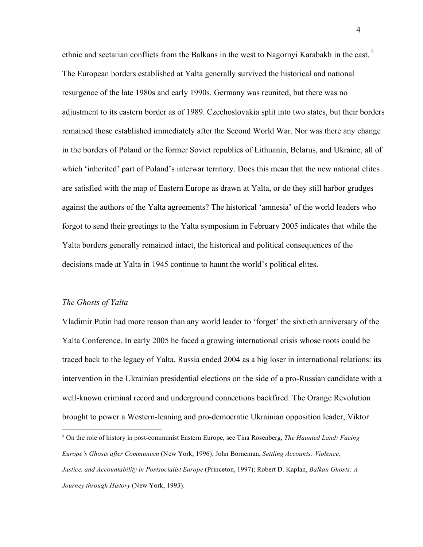ethnic and sectarian conflicts from the Balkans in the west to Nagornyi Karabakh in the east.<sup>5</sup> The European borders established at Yalta generally survived the historical and national resurgence of the late 1980s and early 1990s. Germany was reunited, but there was no adjustment to its eastern border as of 1989. Czechoslovakia split into two states, but their borders remained those established immediately after the Second World War. Nor was there any change in the borders of Poland or the former Soviet republics of Lithuania, Belarus, and Ukraine, all of which 'inherited' part of Poland's interwar territory. Does this mean that the new national elites are satisfied with the map of Eastern Europe as drawn at Yalta, or do they still harbor grudges against the authors of the Yalta agreements? The historical 'amnesia' of the world leaders who forgot to send their greetings to the Yalta symposium in February 2005 indicates that while the Yalta borders generally remained intact, the historical and political consequences of the decisions made at Yalta in 1945 continue to haunt the world's political elites.

#### *The Ghosts of Yalta*

Vladimir Putin had more reason than any world leader to 'forget' the sixtieth anniversary of the Yalta Conference. In early 2005 he faced a growing international crisis whose roots could be traced back to the legacy of Yalta. Russia ended 2004 as a big loser in international relations: its intervention in the Ukrainian presidential elections on the side of a pro-Russian candidate with a well-known criminal record and underground connections backfired. The Orange Revolution brought to power a Western-leaning and pro-democratic Ukrainian opposition leader, Viktor

 $\frac{1}{5}$  On the role of history in post-communist Eastern Europe, see Tina Rosenberg, *The Haunted Land: Facing Europe's Ghosts after Communism* (New York, 1996); John Borneman, *Settling Accounts: Violence, Justice, and Accountability in Postsocialist Europe* (Princeton, 1997); Robert D. Kaplan, *Balkan Ghosts: A Journey through History* (New York, 1993).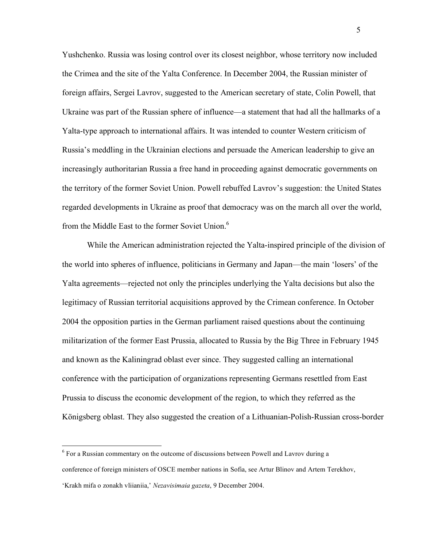Yushchenko. Russia was losing control over its closest neighbor, whose territory now included the Crimea and the site of the Yalta Conference. In December 2004, the Russian minister of foreign affairs, Sergei Lavrov, suggested to the American secretary of state, Colin Powell, that Ukraine was part of the Russian sphere of influence—a statement that had all the hallmarks of a Yalta-type approach to international affairs. It was intended to counter Western criticism of Russia's meddling in the Ukrainian elections and persuade the American leadership to give an increasingly authoritarian Russia a free hand in proceeding against democratic governments on the territory of the former Soviet Union. Powell rebuffed Lavrov's suggestion: the United States regarded developments in Ukraine as proof that democracy was on the march all over the world, from the Middle East to the former Soviet Union.<sup>6</sup>

While the American administration rejected the Yalta-inspired principle of the division of the world into spheres of influence, politicians in Germany and Japan—the main 'losers' of the Yalta agreements—rejected not only the principles underlying the Yalta decisions but also the legitimacy of Russian territorial acquisitions approved by the Crimean conference. In October 2004 the opposition parties in the German parliament raised questions about the continuing militarization of the former East Prussia, allocated to Russia by the Big Three in February 1945 and known as the Kaliningrad oblast ever since. They suggested calling an international conference with the participation of organizations representing Germans resettled from East Prussia to discuss the economic development of the region, to which they referred as the Königsberg oblast. They also suggested the creation of a Lithuanian-Polish-Russian cross-border

 $\frac{1}{6}$  $6$  For a Russian commentary on the outcome of discussions between Powell and Lavrov during a conference of foreign ministers of OSCE member nations in Sofia, see Artur Blinov and Artem Terekhov, 'Krakh mifa o zonakh vliianiia,' *Nezavisimaia gazeta*, 9 December 2004.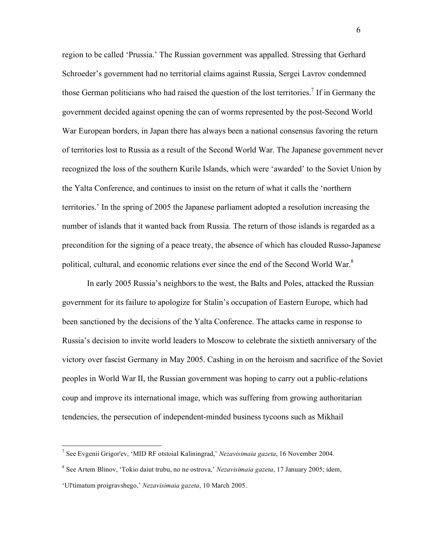region to be called 'Prussia.' The Russian government was appalled. Stressing that Gerhard Schroeder's government had no territorial claims against Russia, Sergei Lavrov condemned those German politicians who had raised the question of the lost territories.<sup>7</sup> If in Germany the government decided against opening the can of worms represented by the post-Second World War European borders, in Japan there has always been a national consensus favoring the return of territories lost to Russia as a result of the Second World War. The Japanese government never recognized the loss of the southern Kurile Islands, which were 'awarded' to the Soviet Union by the Yalta Conference, and continues to insist on the return of what it calls the 'northern territories.' In the spring of 2005 the Japanese parliament adopted a resolution increasing the number of islands that it wanted back from Russia. The return of those islands is regarded as a precondition for the signing of a peace treaty, the absence of which has clouded Russo-Japanese political, cultural, and economic relations ever since the end of the Second World War.<sup>8</sup>

In early 2005 Russia's neighbors to the west, the Balts and Poles, attacked the Russian government for its failure to apologize for Stalin's occupation of Eastern Europe, which had been sanctioned by the decisions of the Yalta Conference. The attacks came in response to Russia's decision to invite world leaders to Moscow to celebrate the sixtieth anniversary of the victory over fascist Germany in May 2005. Cashing in on the heroism and sacrifice of the Soviet peoples in World War II, the Russian government was hoping to carry out a public-relations coup and improve its international image, which was suffering from growing authoritarian tendencies, the persecution of independent-minded business tycoons such as Mikhail

<sup>-&</sup>lt;br>7 See Evgenii Grigor'ev, 'MID RF otstoial Kaliningrad,' *Nezavisimaia gazeta*, 16 November 2004.

<sup>8</sup> See Artem Blinov, 'Tokio daiut trubu, no ne ostrova,' *Nezavisimaia gazeta*, 17 January 2005; idem, 'Ul'timatum proigravshego,' *Nezavisimaia gazeta*, 10 March 2005.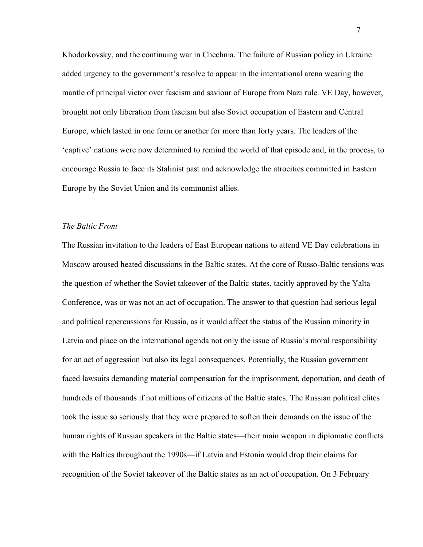Khodorkovsky, and the continuing war in Chechnia. The failure of Russian policy in Ukraine added urgency to the government's resolve to appear in the international arena wearing the mantle of principal victor over fascism and saviour of Europe from Nazi rule. VE Day, however, brought not only liberation from fascism but also Soviet occupation of Eastern and Central Europe, which lasted in one form or another for more than forty years. The leaders of the 'captive' nations were now determined to remind the world of that episode and, in the process, to encourage Russia to face its Stalinist past and acknowledge the atrocities committed in Eastern Europe by the Soviet Union and its communist allies.

#### *The Baltic Front*

The Russian invitation to the leaders of East European nations to attend VE Day celebrations in Moscow aroused heated discussions in the Baltic states. At the core of Russo-Baltic tensions was the question of whether the Soviet takeover of the Baltic states, tacitly approved by the Yalta Conference, was or was not an act of occupation. The answer to that question had serious legal and political repercussions for Russia, as it would affect the status of the Russian minority in Latvia and place on the international agenda not only the issue of Russia's moral responsibility for an act of aggression but also its legal consequences. Potentially, the Russian government faced lawsuits demanding material compensation for the imprisonment, deportation, and death of hundreds of thousands if not millions of citizens of the Baltic states. The Russian political elites took the issue so seriously that they were prepared to soften their demands on the issue of the human rights of Russian speakers in the Baltic states—their main weapon in diplomatic conflicts with the Baltics throughout the 1990s—if Latvia and Estonia would drop their claims for recognition of the Soviet takeover of the Baltic states as an act of occupation. On 3 February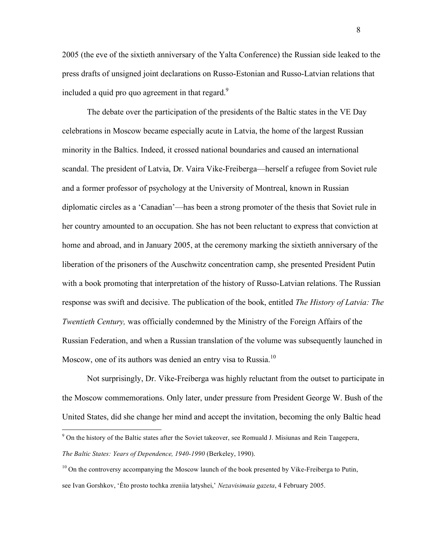2005 (the eve of the sixtieth anniversary of the Yalta Conference) the Russian side leaked to the press drafts of unsigned joint declarations on Russo-Estonian and Russo-Latvian relations that included a quid pro quo agreement in that regard. $9$ 

The debate over the participation of the presidents of the Baltic states in the VE Day celebrations in Moscow became especially acute in Latvia, the home of the largest Russian minority in the Baltics. Indeed, it crossed national boundaries and caused an international scandal. The president of Latvia, Dr. Vaira Vike-Freiberga—herself a refugee from Soviet rule and a former professor of psychology at the University of Montreal, known in Russian diplomatic circles as a 'Canadian'—has been a strong promoter of the thesis that Soviet rule in her country amounted to an occupation. She has not been reluctant to express that conviction at home and abroad, and in January 2005, at the ceremony marking the sixtieth anniversary of the liberation of the prisoners of the Auschwitz concentration camp, she presented President Putin with a book promoting that interpretation of the history of Russo-Latvian relations. The Russian response was swift and decisive. The publication of the book, entitled *The History of Latvia: The Twentieth Century,* was officially condemned by the Ministry of the Foreign Affairs of the Russian Federation, and when a Russian translation of the volume was subsequently launched in Moscow, one of its authors was denied an entry visa to Russia.<sup>10</sup>

Not surprisingly, Dr. Vike-Freiberga was highly reluctant from the outset to participate in the Moscow commemorations. Only later, under pressure from President George W. Bush of the United States, did she change her mind and accept the invitation, becoming the only Baltic head

<sup>-&</sup>lt;br>9  $9$  On the history of the Baltic states after the Soviet takeover, see Romuald J. Misiunas and Rein Taagepera, *The Baltic States: Years of Dependence, 1940-1990* (Berkeley, 1990).

 $10$  On the controversy accompanying the Moscow launch of the book presented by Vike-Freiberga to Putin, see Ivan Gorshkov, 'Ėto prosto tochka zreniia latyshei,' *Nezavisimaia gazeta*, 4 February 2005.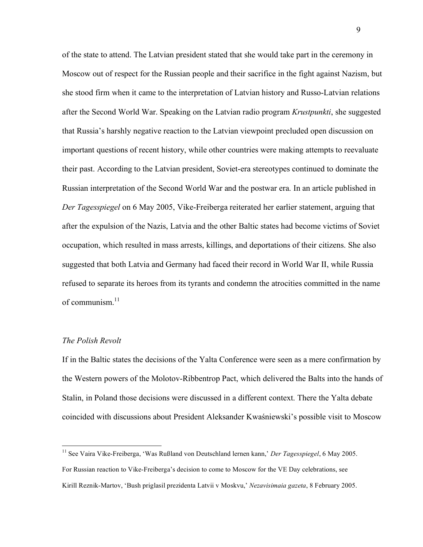of the state to attend. The Latvian president stated that she would take part in the ceremony in Moscow out of respect for the Russian people and their sacrifice in the fight against Nazism, but she stood firm when it came to the interpretation of Latvian history and Russo-Latvian relations after the Second World War. Speaking on the Latvian radio program *Krustpunkti*, she suggested that Russia's harshly negative reaction to the Latvian viewpoint precluded open discussion on important questions of recent history, while other countries were making attempts to reevaluate their past. According to the Latvian president, Soviet-era stereotypes continued to dominate the Russian interpretation of the Second World War and the postwar era. In an article published in *Der Tagesspiegel* on 6 May 2005, Vike-Freiberga reiterated her earlier statement, arguing that after the expulsion of the Nazis, Latvia and the other Baltic states had become victims of Soviet occupation, which resulted in mass arrests, killings, and deportations of their citizens. She also suggested that both Latvia and Germany had faced their record in World War II, while Russia refused to separate its heroes from its tyrants and condemn the atrocities committed in the name of communism. $11$ 

#### *The Polish Revolt*

If in the Baltic states the decisions of the Yalta Conference were seen as a mere confirmation by the Western powers of the Molotov-Ribbentrop Pact, which delivered the Balts into the hands of Stalin, in Poland those decisions were discussed in a different context. There the Yalta debate coincided with discussions about President Aleksander Kwaśniewski's possible visit to Moscow

 <sup>11</sup> See Vaira Vike-Freiberga, 'Was Rußland von Deutschland lernen kann,' *Der Tagesspiegel*, 6 May 2005. For Russian reaction to Vike-Freiberga's decision to come to Moscow for the VE Day celebrations, see Kirill Reznik-Martov, 'Bush priglasil prezidenta Latvii v Moskvu,' *Nezavisimaia gazeta*, 8 February 2005.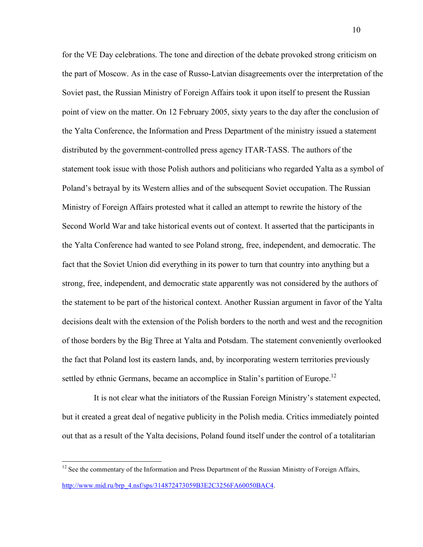for the VE Day celebrations. The tone and direction of the debate provoked strong criticism on the part of Moscow. As in the case of Russo-Latvian disagreements over the interpretation of the Soviet past, the Russian Ministry of Foreign Affairs took it upon itself to present the Russian point of view on the matter. On 12 February 2005, sixty years to the day after the conclusion of the Yalta Conference, the Information and Press Department of the ministry issued a statement distributed by the government-controlled press agency ITAR-TASS. The authors of the statement took issue with those Polish authors and politicians who regarded Yalta as a symbol of Poland's betrayal by its Western allies and of the subsequent Soviet occupation. The Russian Ministry of Foreign Affairs protested what it called an attempt to rewrite the history of the Second World War and take historical events out of context. It asserted that the participants in the Yalta Conference had wanted to see Poland strong, free, independent, and democratic. The fact that the Soviet Union did everything in its power to turn that country into anything but a strong, free, independent, and democratic state apparently was not considered by the authors of the statement to be part of the historical context. Another Russian argument in favor of the Yalta decisions dealt with the extension of the Polish borders to the north and west and the recognition of those borders by the Big Three at Yalta and Potsdam. The statement conveniently overlooked the fact that Poland lost its eastern lands, and, by incorporating western territories previously settled by ethnic Germans, became an accomplice in Stalin's partition of Europe.<sup>12</sup>

It is not clear what the initiators of the Russian Foreign Ministry's statement expected, but it created a great deal of negative publicity in the Polish media. Critics immediately pointed out that as a result of the Yalta decisions, Poland found itself under the control of a totalitarian

 $12$  See the commentary of the Information and Press Department of the Russian Ministry of Foreign Affairs, http://www.mid.ru/brp\_4.nsf/sps/314872473059B3E2C3256FA60050BAC4.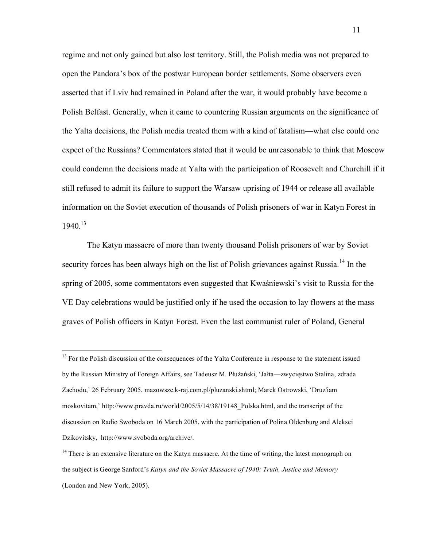regime and not only gained but also lost territory. Still, the Polish media was not prepared to open the Pandora's box of the postwar European border settlements. Some observers even asserted that if Lviv had remained in Poland after the war, it would probably have become a Polish Belfast. Generally, when it came to countering Russian arguments on the significance of the Yalta decisions, the Polish media treated them with a kind of fatalism—what else could one expect of the Russians? Commentators stated that it would be unreasonable to think that Moscow could condemn the decisions made at Yalta with the participation of Roosevelt and Churchill if it still refused to admit its failure to support the Warsaw uprising of 1944 or release all available information on the Soviet execution of thousands of Polish prisoners of war in Katyn Forest in  $1940^{13}$ 

The Katyn massacre of more than twenty thousand Polish prisoners of war by Soviet security forces has been always high on the list of Polish grievances against Russia.<sup>14</sup> In the spring of 2005, some commentators even suggested that Kwaśniewski's visit to Russia for the VE Day celebrations would be justified only if he used the occasion to lay flowers at the mass graves of Polish officers in Katyn Forest. Even the last communist ruler of Poland, General

 $13$  For the Polish discussion of the consequences of the Yalta Conference in response to the statement issued by the Russian Ministry of Foreign Affairs, see Tadeusz M. Płużański, 'Jałta—zwycięstwo Stalina, zdrada Zachodu,' 26 February 2005, mazowsze.k-raj.com.pl/pluzanski.shtml; Marek Ostrowski, 'Druz'iam moskovitam,' http://www.pravda.ru/world/2005/5/14/38/19148\_Polska.html, and the transcript of the discussion on Radio Swoboda on 16 March 2005, with the participation of Polina Oldenburg and Aleksei Dzikovitsky, http://www.svoboda.org/archive/.

 $<sup>14</sup>$  There is an extensive literature on the Katyn massacre. At the time of writing, the latest monograph on</sup> the subject is George Sanford's *Katyn and the Soviet Massacre of 1940: Truth, Justice and Memory* (London and New York, 2005).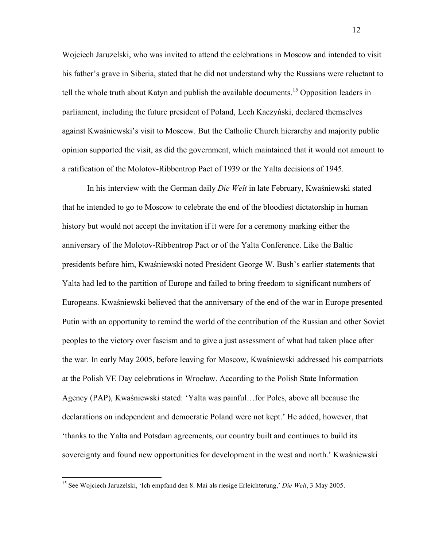Wojciech Jaruzelski, who was invited to attend the celebrations in Moscow and intended to visit his father's grave in Siberia, stated that he did not understand why the Russians were reluctant to tell the whole truth about Katyn and publish the available documents.<sup>15</sup> Opposition leaders in parliament, including the future president of Poland, Lech Kaczyński, declared themselves against Kwaśniewski's visit to Moscow. But the Catholic Church hierarchy and majority public opinion supported the visit, as did the government, which maintained that it would not amount to a ratification of the Molotov-Ribbentrop Pact of 1939 or the Yalta decisions of 1945.

In his interview with the German daily *Die Welt* in late February, Kwaśniewski stated that he intended to go to Moscow to celebrate the end of the bloodiest dictatorship in human history but would not accept the invitation if it were for a ceremony marking either the anniversary of the Molotov-Ribbentrop Pact or of the Yalta Conference. Like the Baltic presidents before him, Kwaśniewski noted President George W. Bush's earlier statements that Yalta had led to the partition of Europe and failed to bring freedom to significant numbers of Europeans. Kwaśniewski believed that the anniversary of the end of the war in Europe presented Putin with an opportunity to remind the world of the contribution of the Russian and other Soviet peoples to the victory over fascism and to give a just assessment of what had taken place after the war. In early May 2005, before leaving for Moscow, Kwaśniewski addressed his compatriots at the Polish VE Day celebrations in Wrocław. According to the Polish State Information Agency (PAP), Kwaśniewski stated: 'Yalta was painful…for Poles, above all because the declarations on independent and democratic Poland were not kept.' He added, however, that 'thanks to the Yalta and Potsdam agreements, our country built and continues to build its sovereignty and found new opportunities for development in the west and north.' Kwaśniewski

 <sup>15</sup> See Wojciech Jaruzelski, 'Ich empfand den 8. Mai als riesige Erleichterung,' *Die Welt*, 3 May 2005.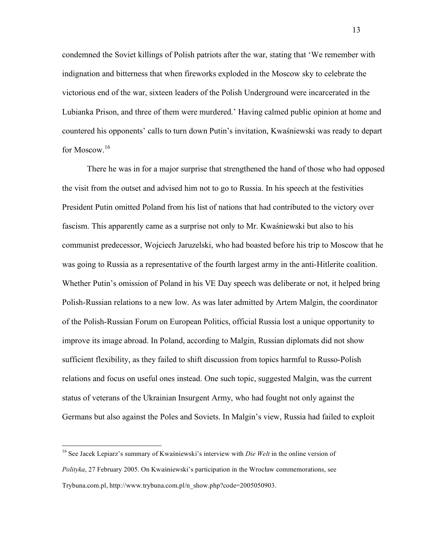condemned the Soviet killings of Polish patriots after the war, stating that 'We remember with indignation and bitterness that when fireworks exploded in the Moscow sky to celebrate the victorious end of the war, sixteen leaders of the Polish Underground were incarcerated in the Lubianka Prison, and three of them were murdered.' Having calmed public opinion at home and countered his opponents' calls to turn down Putin's invitation, Kwaśniewski was ready to depart for Moscow.<sup>16</sup>

There he was in for a major surprise that strengthened the hand of those who had opposed the visit from the outset and advised him not to go to Russia. In his speech at the festivities President Putin omitted Poland from his list of nations that had contributed to the victory over fascism. This apparently came as a surprise not only to Mr. Kwaśniewski but also to his communist predecessor, Wojciech Jaruzelski, who had boasted before his trip to Moscow that he was going to Russia as a representative of the fourth largest army in the anti-Hitlerite coalition. Whether Putin's omission of Poland in his VE Day speech was deliberate or not, it helped bring Polish-Russian relations to a new low. As was later admitted by Artem Malgin, the coordinator of the Polish-Russian Forum on European Politics, official Russia lost a unique opportunity to improve its image abroad. In Poland, according to Malgin, Russian diplomats did not show sufficient flexibility, as they failed to shift discussion from topics harmful to Russo-Polish relations and focus on useful ones instead. One such topic, suggested Malgin, was the current status of veterans of the Ukrainian Insurgent Army, who had fought not only against the Germans but also against the Poles and Soviets. In Malgin's view, Russia had failed to exploit

 <sup>16</sup> See Jacek Lepiarz's summary of Kwaśniewski's interview with *Die Welt* in the online version of *Polityka*, 27 February 2005. On Kwaśniewski's participation in the Wrocław commemorations, see Trybuna.com.pl, http://www.trybuna.com.pl/n\_show.php?code=2005050903.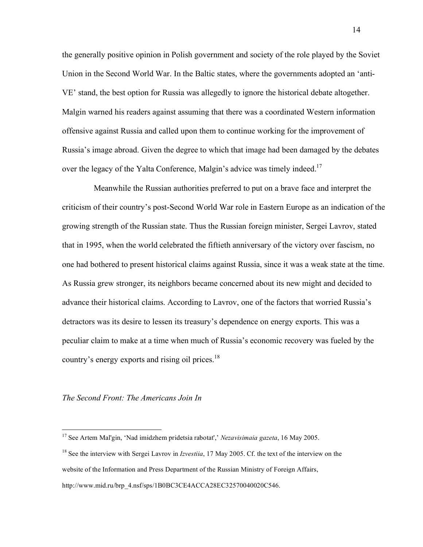the generally positive opinion in Polish government and society of the role played by the Soviet Union in the Second World War. In the Baltic states, where the governments adopted an 'anti-VE' stand, the best option for Russia was allegedly to ignore the historical debate altogether. Malgin warned his readers against assuming that there was a coordinated Western information offensive against Russia and called upon them to continue working for the improvement of Russia's image abroad. Given the degree to which that image had been damaged by the debates over the legacy of the Yalta Conference, Malgin's advice was timely indeed.<sup>17</sup>

Meanwhile the Russian authorities preferred to put on a brave face and interpret the criticism of their country's post-Second World War role in Eastern Europe as an indication of the growing strength of the Russian state. Thus the Russian foreign minister, Sergei Lavrov, stated that in 1995, when the world celebrated the fiftieth anniversary of the victory over fascism, no one had bothered to present historical claims against Russia, since it was a weak state at the time. As Russia grew stronger, its neighbors became concerned about its new might and decided to advance their historical claims. According to Lavrov, one of the factors that worried Russia's detractors was its desire to lessen its treasury's dependence on energy exports. This was a peculiar claim to make at a time when much of Russia's economic recovery was fueled by the country's energy exports and rising oil prices.<sup>18</sup>

#### *The Second Front: The Americans Join In*

 <sup>17</sup> See Artem Mal'gin, 'Nad imidzhem pridetsia rabotat',' *Nezavisimaia gazeta*, 16 May 2005.

<sup>&</sup>lt;sup>18</sup> See the interview with Sergei Lavrov in *Izvestiia*, 17 May 2005. Cf, the text of the interview on the website of the Information and Press Department of the Russian Ministry of Foreign Affairs, http://www.mid.ru/brp\_4.nsf/sps/1B0BC3CE4ACCA28EC32570040020C546.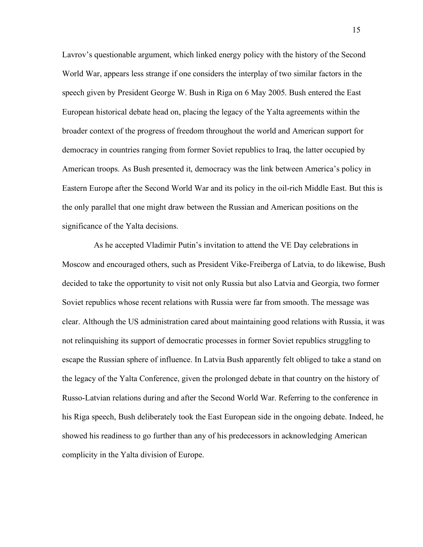Lavrov's questionable argument, which linked energy policy with the history of the Second World War, appears less strange if one considers the interplay of two similar factors in the speech given by President George W. Bush in Riga on 6 May 2005. Bush entered the East European historical debate head on, placing the legacy of the Yalta agreements within the broader context of the progress of freedom throughout the world and American support for democracy in countries ranging from former Soviet republics to Iraq, the latter occupied by American troops. As Bush presented it, democracy was the link between America's policy in Eastern Europe after the Second World War and its policy in the oil-rich Middle East. But this is the only parallel that one might draw between the Russian and American positions on the significance of the Yalta decisions.

As he accepted Vladimir Putin's invitation to attend the VE Day celebrations in Moscow and encouraged others, such as President Vike-Freiberga of Latvia, to do likewise, Bush decided to take the opportunity to visit not only Russia but also Latvia and Georgia, two former Soviet republics whose recent relations with Russia were far from smooth. The message was clear. Although the US administration cared about maintaining good relations with Russia, it was not relinquishing its support of democratic processes in former Soviet republics struggling to escape the Russian sphere of influence. In Latvia Bush apparently felt obliged to take a stand on the legacy of the Yalta Conference, given the prolonged debate in that country on the history of Russo-Latvian relations during and after the Second World War. Referring to the conference in his Riga speech, Bush deliberately took the East European side in the ongoing debate. Indeed, he showed his readiness to go further than any of his predecessors in acknowledging American complicity in the Yalta division of Europe.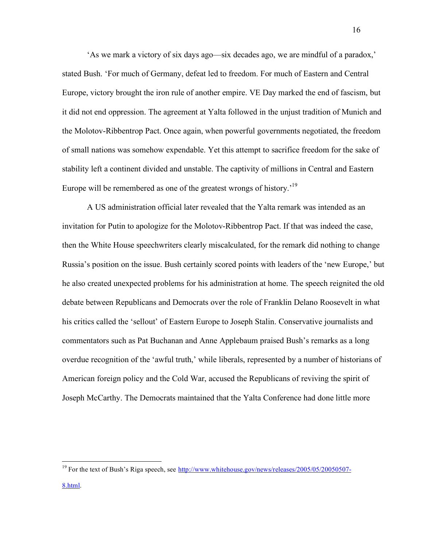'As we mark a victory of six days ago—six decades ago, we are mindful of a paradox,' stated Bush. 'For much of Germany, defeat led to freedom. For much of Eastern and Central Europe, victory brought the iron rule of another empire. VE Day marked the end of fascism, but it did not end oppression. The agreement at Yalta followed in the unjust tradition of Munich and the Molotov-Ribbentrop Pact. Once again, when powerful governments negotiated, the freedom of small nations was somehow expendable. Yet this attempt to sacrifice freedom for the sake of stability left a continent divided and unstable. The captivity of millions in Central and Eastern Europe will be remembered as one of the greatest wrongs of history.<sup>'19</sup>

A US administration official later revealed that the Yalta remark was intended as an invitation for Putin to apologize for the Molotov-Ribbentrop Pact. If that was indeed the case, then the White House speechwriters clearly miscalculated, for the remark did nothing to change Russia's position on the issue. Bush certainly scored points with leaders of the 'new Europe,' but he also created unexpected problems for his administration at home. The speech reignited the old debate between Republicans and Democrats over the role of Franklin Delano Roosevelt in what his critics called the 'sellout' of Eastern Europe to Joseph Stalin. Conservative journalists and commentators such as Pat Buchanan and Anne Applebaum praised Bush's remarks as a long overdue recognition of the 'awful truth,' while liberals, represented by a number of historians of American foreign policy and the Cold War, accused the Republicans of reviving the spirit of Joseph McCarthy. The Democrats maintained that the Yalta Conference had done little more

<sup>&</sup>lt;sup>19</sup> For the text of Bush's Riga speech, see http://www.whitehouse.gov/news/releases/2005/05/20050507-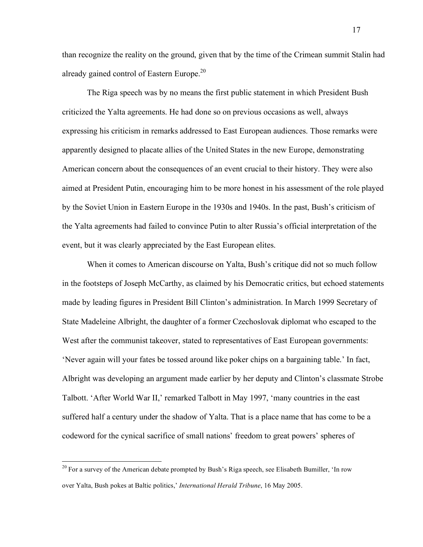than recognize the reality on the ground, given that by the time of the Crimean summit Stalin had already gained control of Eastern Europe.<sup>20</sup>

The Riga speech was by no means the first public statement in which President Bush criticized the Yalta agreements. He had done so on previous occasions as well, always expressing his criticism in remarks addressed to East European audiences. Those remarks were apparently designed to placate allies of the United States in the new Europe, demonstrating American concern about the consequences of an event crucial to their history. They were also aimed at President Putin, encouraging him to be more honest in his assessment of the role played by the Soviet Union in Eastern Europe in the 1930s and 1940s. In the past, Bush's criticism of the Yalta agreements had failed to convince Putin to alter Russia's official interpretation of the event, but it was clearly appreciated by the East European elites.

When it comes to American discourse on Yalta, Bush's critique did not so much follow in the footsteps of Joseph McCarthy, as claimed by his Democratic critics, but echoed statements made by leading figures in President Bill Clinton's administration. In March 1999 Secretary of State Madeleine Albright, the daughter of a former Czechoslovak diplomat who escaped to the West after the communist takeover, stated to representatives of East European governments: 'Never again will your fates be tossed around like poker chips on a bargaining table.' In fact, Albright was developing an argument made earlier by her deputy and Clinton's classmate Strobe Talbott. 'After World War II,' remarked Talbott in May 1997, 'many countries in the east suffered half a century under the shadow of Yalta. That is a place name that has come to be a codeword for the cynical sacrifice of small nations' freedom to great powers' spheres of

 $^{20}$  For a survey of the American debate prompted by Bush's Riga speech, see Elisabeth Bumiller, 'In row over Yalta, Bush pokes at Baltic politics,' *International Herald Tribune*, 16 May 2005.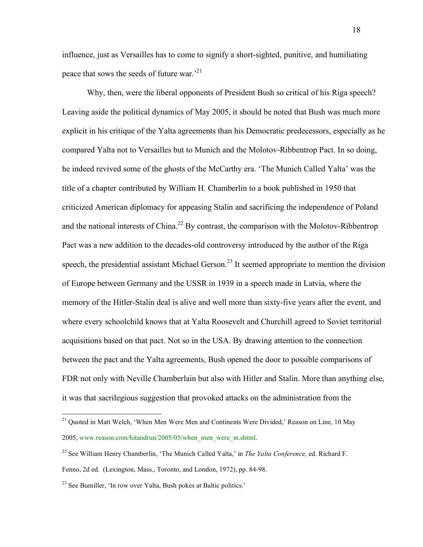influence, just as Versailles has to come to signify a short-sighted, punitive, and humiliating peace that sows the seeds of future war.'21

Why, then, were the liberal opponents of President Bush so critical of his Riga speech? Leaving aside the political dynamics of May 2005, it should be noted that Bush was much more explicit in his critique of the Yalta agreements than his Democratic predecessors, especially as he compared Yalta not to Versailles but to Munich and the Molotov-Ribbentrop Pact. In so doing, he indeed revived some of the ghosts of the McCarthy era. 'The Munich Called Yalta' was the title of a chapter contributed by William H. Chamberlin to a book published in 1950 that criticized American diplomacy for appeasing Stalin and sacrificing the independence of Poland and the national interests of China.<sup>22</sup> By contrast, the comparison with the Molotov-Ribbentrop Pact was a new addition to the decades-old controversy introduced by the author of the Riga speech, the presidential assistant Michael Gerson.<sup>23</sup> It seemed appropriate to mention the division of Europe between Germany and the USSR in 1939 in a speech made in Latvia, where the memory of the Hitler-Stalin deal is alive and well more than sixty-five years after the event, and where every schoolchild knows that at Yalta Roosevelt and Churchill agreed to Soviet territorial acquisitions based on that pact. Not so in the USA. By drawing attention to the connection between the pact and the Yalta agreements, Bush opened the door to possible comparisons of FDR not only with Neville Chamberlain but also with Hitler and Stalin. More than anything else, it was that sacrilegious suggestion that provoked attacks on the administration from the

<sup>&</sup>lt;sup>21</sup> Ouoted in Matt Welch, 'When Men Were Men and Continents Were Divided,' Reason on Line, 10 May 2005, www.reason.com/hitandrun/2005/05/when\_men\_were\_m.shtml.

<sup>22</sup> See William Henry Chamberlin, 'The Munich Called Yalta,' in *The Yalta Conference,* ed. Richard F.

Fenno, 2d ed. (Lexington, Mass., Toronto, and London, 1972), pp. 84-98.

 $^{23}$  See Bumiller. 'In row over Yalta, Bush pokes at Baltic politics.'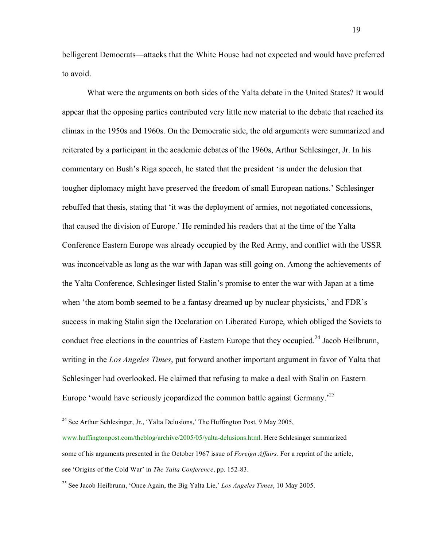belligerent Democrats—attacks that the White House had not expected and would have preferred to avoid.

What were the arguments on both sides of the Yalta debate in the United States? It would appear that the opposing parties contributed very little new material to the debate that reached its climax in the 1950s and 1960s. On the Democratic side, the old arguments were summarized and reiterated by a participant in the academic debates of the 1960s, Arthur Schlesinger, Jr. In his commentary on Bush's Riga speech, he stated that the president 'is under the delusion that tougher diplomacy might have preserved the freedom of small European nations.' Schlesinger rebuffed that thesis, stating that 'it was the deployment of armies, not negotiated concessions, that caused the division of Europe.' He reminded his readers that at the time of the Yalta Conference Eastern Europe was already occupied by the Red Army, and conflict with the USSR was inconceivable as long as the war with Japan was still going on. Among the achievements of the Yalta Conference, Schlesinger listed Stalin's promise to enter the war with Japan at a time when 'the atom bomb seemed to be a fantasy dreamed up by nuclear physicists,' and FDR's success in making Stalin sign the Declaration on Liberated Europe, which obliged the Soviets to conduct free elections in the countries of Eastern Europe that they occupied.<sup>24</sup> Jacob Heilbrunn, writing in the *Los Angeles Times*, put forward another important argument in favor of Yalta that Schlesinger had overlooked. He claimed that refusing to make a deal with Stalin on Eastern Europe 'would have seriously jeopardized the common battle against Germany.'25

<sup>&</sup>lt;sup>24</sup> See Arthur Schlesinger, Jr., 'Yalta Delusions,' The Huffington Post, 9 May 2005,

www.huffingtonpost.com/theblog/archive/2005/05/yalta-delusions.html. Here Schlesinger summarized some of his arguments presented in the October 1967 issue of *Foreign Affairs*. For a reprint of the article, see 'Origins of the Cold War' in *The Yalta Conference*, pp. 152-83.

<sup>25</sup> See Jacob Heilbrunn, 'Once Again, the Big Yalta Lie,' *Los Angeles Times*, 10 May 2005.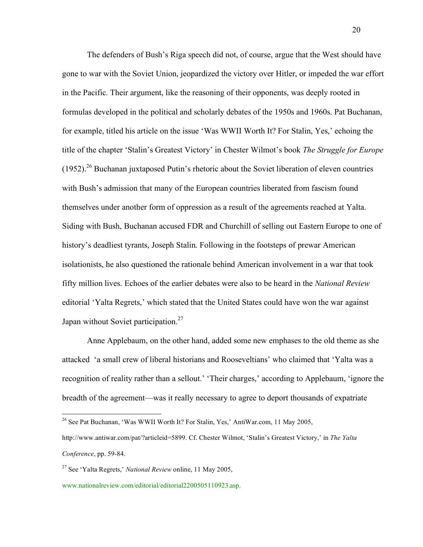The defenders of Bush's Riga speech did not, of course, argue that the West should have gone to war with the Soviet Union, jeopardized the victory over Hitler, or impeded the war effort in the Pacific. Their argument, like the reasoning of their opponents, was deeply rooted in formulas developed in the political and scholarly debates of the 1950s and 1960s. Pat Buchanan, for example, titled his article on the issue 'Was WWII Worth It? For Stalin, Yes,' echoing the title of the chapter 'Stalin's Greatest Victory' in Chester Wilmot's book *The Struggle for Europe*  $(1952).$ <sup>26</sup> Buchanan juxtaposed Putin's rhetoric about the Soviet liberation of eleven countries with Bush's admission that many of the European countries liberated from fascism found themselves under another form of oppression as a result of the agreements reached at Yalta. Siding with Bush, Buchanan accused FDR and Churchill of selling out Eastern Europe to one of history's deadliest tyrants, Joseph Stalin. Following in the footsteps of prewar American isolationists, he also questioned the rationale behind American involvement in a war that took fifty million lives. Echoes of the earlier debates were also to be heard in the *National Review* editorial 'Yalta Regrets,' which stated that the United States could have won the war against Japan without Soviet participation.<sup>27</sup>

Anne Applebaum, on the other hand, added some new emphases to the old theme as she attacked 'a small crew of liberal historians and Rooseveltians' who claimed that 'Yalta was a recognition of reality rather than a sellout.' 'Their charges,' according to Applebaum, 'ignore the breadth of the agreement—was it really necessary to agree to deport thousands of expatriate

<sup>&</sup>lt;sup>26</sup> See Pat Buchanan, 'Was WWII Worth It? For Stalin, Yes,' AntiWar.com, 11 May 2005,

http://www.antiwar.com/pat/?articleid=5899. Cf. Chester Wilmot, 'Stalin's Greatest Victory,' in *The Yalta Conference*, pp. 59-84.

<sup>27</sup> See 'Yalta Regrets,' *National Review* online, 11 May 2005,

www.nationalreview.com/editorial/editorial2200505110923.asp.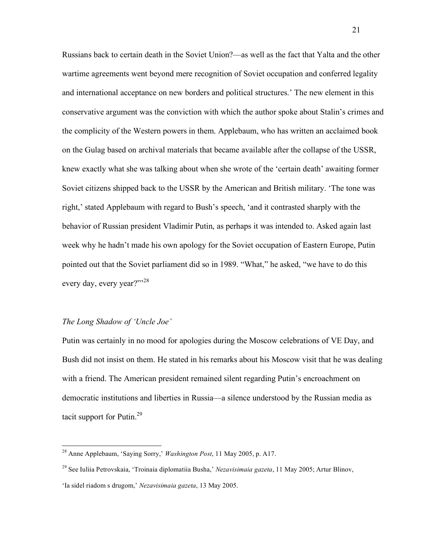Russians back to certain death in the Soviet Union?—as well as the fact that Yalta and the other wartime agreements went beyond mere recognition of Soviet occupation and conferred legality and international acceptance on new borders and political structures.' The new element in this conservative argument was the conviction with which the author spoke about Stalin's crimes and the complicity of the Western powers in them. Applebaum, who has written an acclaimed book on the Gulag based on archival materials that became available after the collapse of the USSR, knew exactly what she was talking about when she wrote of the 'certain death' awaiting former Soviet citizens shipped back to the USSR by the American and British military. 'The tone was right,' stated Applebaum with regard to Bush's speech, 'and it contrasted sharply with the behavior of Russian president Vladimir Putin, as perhaps it was intended to. Asked again last week why he hadn't made his own apology for the Soviet occupation of Eastern Europe, Putin pointed out that the Soviet parliament did so in 1989. "What," he asked, "we have to do this every day, every year?"<sup>28</sup>

### *The Long Shadow of 'Uncle Joe'*

Putin was certainly in no mood for apologies during the Moscow celebrations of VE Day, and Bush did not insist on them. He stated in his remarks about his Moscow visit that he was dealing with a friend. The American president remained silent regarding Putin's encroachment on democratic institutions and liberties in Russia—a silence understood by the Russian media as tacit support for Putin. $^{29}$ 

 <sup>28</sup> Anne Applebaum, 'Saying Sorry,' *Washington Post*, 11 May 2005, p. A17.

<sup>29</sup> See Iuliia Petrovskaia, 'Troinaia diplomatiia Busha,' *Nezavisimaia gazeta*, 11 May 2005; Artur Blinov, 'Ia sidel riadom s drugom,' *Nezavisimaia gazeta*, 13 May 2005.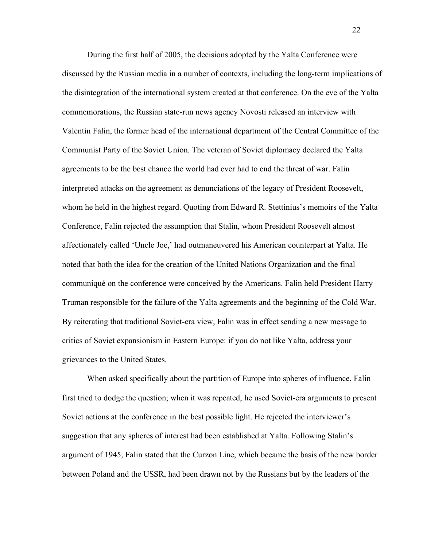During the first half of 2005, the decisions adopted by the Yalta Conference were discussed by the Russian media in a number of contexts, including the long-term implications of the disintegration of the international system created at that conference. On the eve of the Yalta commemorations, the Russian state-run news agency Novosti released an interview with Valentin Falin, the former head of the international department of the Central Committee of the Communist Party of the Soviet Union. The veteran of Soviet diplomacy declared the Yalta agreements to be the best chance the world had ever had to end the threat of war. Falin interpreted attacks on the agreement as denunciations of the legacy of President Roosevelt, whom he held in the highest regard. Quoting from Edward R. Stettinius's memoirs of the Yalta Conference, Falin rejected the assumption that Stalin, whom President Roosevelt almost affectionately called 'Uncle Joe,' had outmaneuvered his American counterpart at Yalta. He noted that both the idea for the creation of the United Nations Organization and the final communiqué on the conference were conceived by the Americans. Falin held President Harry Truman responsible for the failure of the Yalta agreements and the beginning of the Cold War. By reiterating that traditional Soviet-era view, Falin was in effect sending a new message to critics of Soviet expansionism in Eastern Europe: if you do not like Yalta, address your grievances to the United States.

When asked specifically about the partition of Europe into spheres of influence, Falin first tried to dodge the question; when it was repeated, he used Soviet-era arguments to present Soviet actions at the conference in the best possible light. He rejected the interviewer's suggestion that any spheres of interest had been established at Yalta. Following Stalin's argument of 1945, Falin stated that the Curzon Line, which became the basis of the new border between Poland and the USSR, had been drawn not by the Russians but by the leaders of the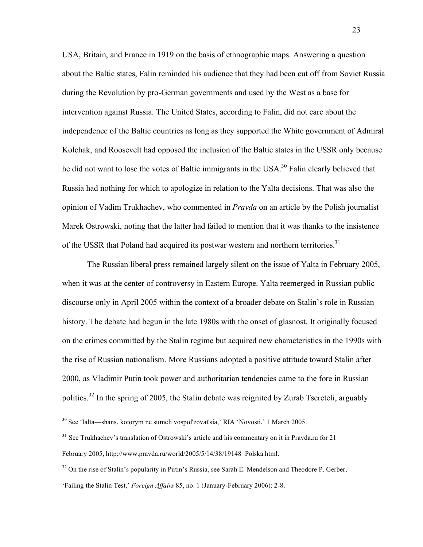USA, Britain, and France in 1919 on the basis of ethnographic maps. Answering a question about the Baltic states, Falin reminded his audience that they had been cut off from Soviet Russia during the Revolution by pro-German governments and used by the West as a base for intervention against Russia. The United States, according to Falin, did not care about the independence of the Baltic countries as long as they supported the White government of Admiral Kolchak, and Roosevelt had opposed the inclusion of the Baltic states in the USSR only because he did not want to lose the votes of Baltic immigrants in the USA.<sup>30</sup> Falin clearly believed that Russia had nothing for which to apologize in relation to the Yalta decisions. That was also the opinion of Vadim Trukhachev, who commented in *Pravda* on an article by the Polish journalist Marek Ostrowski, noting that the latter had failed to mention that it was thanks to the insistence of the USSR that Poland had acquired its postwar western and northern territories.<sup>31</sup>

The Russian liberal press remained largely silent on the issue of Yalta in February 2005, when it was at the center of controversy in Eastern Europe. Yalta reemerged in Russian public discourse only in April 2005 within the context of a broader debate on Stalin's role in Russian history. The debate had begun in the late 1980s with the onset of glasnost. It originally focused on the crimes committed by the Stalin regime but acquired new characteristics in the 1990s with the rise of Russian nationalism. More Russians adopted a positive attitude toward Stalin after 2000, as Vladimir Putin took power and authoritarian tendencies came to the fore in Russian politics.32 In the spring of 2005, the Stalin debate was reignited by Zurab Tsereteli, arguably

 <sup>30</sup> See 'Ialta—shans, kotorym ne sumeli vospol'zovat'sia,' RIA 'Novosti,' 1 March 2005.

<sup>&</sup>lt;sup>31</sup> See Trukhachev's translation of Ostrowski's article and his commentary on it in Pravda.ru for 21 February 2005, http://www.pravda.ru/world/2005/5/14/38/19148\_Polska.html.

<sup>&</sup>lt;sup>32</sup> On the rise of Stalin's popularity in Putin's Russia, see Sarah E. Mendelson and Theodore P. Gerber, 'Failing the Stalin Test,' *Foreign Affairs* 85, no. 1 (January-February 2006): 2-8.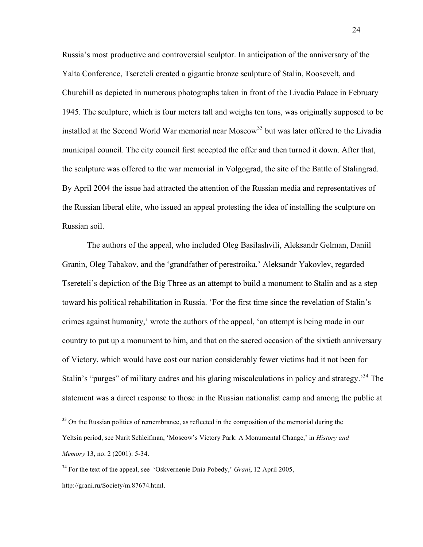Russia's most productive and controversial sculptor. In anticipation of the anniversary of the Yalta Conference, Tsereteli created a gigantic bronze sculpture of Stalin, Roosevelt, and Churchill as depicted in numerous photographs taken in front of the Livadia Palace in February 1945. The sculpture, which is four meters tall and weighs ten tons, was originally supposed to be installed at the Second World War memorial near Moscow<sup>33</sup> but was later offered to the Livadia municipal council. The city council first accepted the offer and then turned it down. After that, the sculpture was offered to the war memorial in Volgograd, the site of the Battle of Stalingrad. By April 2004 the issue had attracted the attention of the Russian media and representatives of the Russian liberal elite, who issued an appeal protesting the idea of installing the sculpture on Russian soil.

The authors of the appeal, who included Oleg Basilashvili, Aleksandr Gelman, Daniil Granin, Oleg Tabakov, and the 'grandfather of perestroika,' Aleksandr Yakovlev, regarded Tsereteli's depiction of the Big Three as an attempt to build a monument to Stalin and as a step toward his political rehabilitation in Russia. 'For the first time since the revelation of Stalin's crimes against humanity,' wrote the authors of the appeal, 'an attempt is being made in our country to put up a monument to him, and that on the sacred occasion of the sixtieth anniversary of Victory, which would have cost our nation considerably fewer victims had it not been for Stalin's "purges" of military cadres and his glaring miscalculations in policy and strategy.<sup>34</sup> The statement was a direct response to those in the Russian nationalist camp and among the public at

 $33$  On the Russian politics of remembrance, as reflected in the composition of the memorial during the Yeltsin period, see Nurit Schleifman, 'Moscow's Victory Park: A Monumental Change,' in *History and Memory* 13, no. 2 (2001): 5-34.

<sup>34</sup> For the text of the appeal, see 'Oskvernenie Dnia Pobedy,' *Grani*, 12 April 2005,

http://grani.ru/Society/m.87674.html.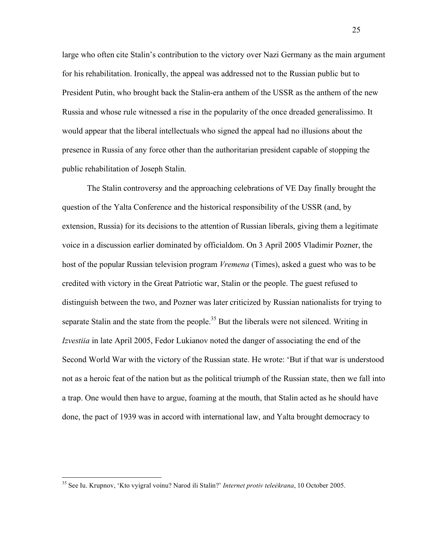large who often cite Stalin's contribution to the victory over Nazi Germany as the main argument for his rehabilitation. Ironically, the appeal was addressed not to the Russian public but to President Putin, who brought back the Stalin-era anthem of the USSR as the anthem of the new Russia and whose rule witnessed a rise in the popularity of the once dreaded generalissimo. It would appear that the liberal intellectuals who signed the appeal had no illusions about the presence in Russia of any force other than the authoritarian president capable of stopping the public rehabilitation of Joseph Stalin.

The Stalin controversy and the approaching celebrations of VE Day finally brought the question of the Yalta Conference and the historical responsibility of the USSR (and, by extension, Russia) for its decisions to the attention of Russian liberals, giving them a legitimate voice in a discussion earlier dominated by officialdom. On 3 April 2005 Vladimir Pozner, the host of the popular Russian television program *Vremena* (Times), asked a guest who was to be credited with victory in the Great Patriotic war, Stalin or the people. The guest refused to distinguish between the two, and Pozner was later criticized by Russian nationalists for trying to separate Stalin and the state from the people.<sup>35</sup> But the liberals were not silenced. Writing in *Izvestiia* in late April 2005, Fedor Lukianov noted the danger of associating the end of the Second World War with the victory of the Russian state. He wrote: 'But if that war is understood not as a heroic feat of the nation but as the political triumph of the Russian state, then we fall into a trap. One would then have to argue, foaming at the mouth, that Stalin acted as he should have done, the pact of 1939 was in accord with international law, and Yalta brought democracy to

 <sup>35</sup> See Iu. Krupnov, 'Kto vyigral voinu? Narod ili Stalin?' *Internet protiv teleėkrana*, 10 October 2005.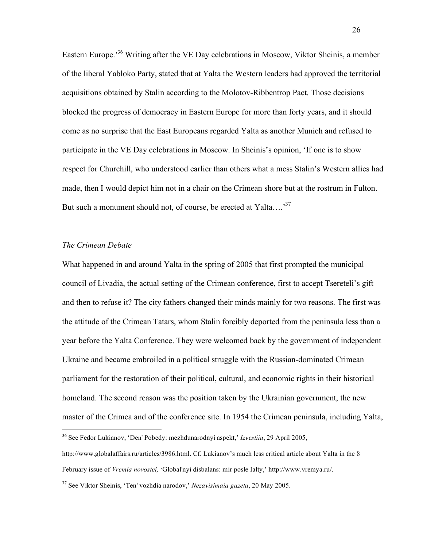Eastern Europe.'36 Writing after the VE Day celebrations in Moscow, Viktor Sheinis, a member of the liberal Yabloko Party, stated that at Yalta the Western leaders had approved the territorial acquisitions obtained by Stalin according to the Molotov-Ribbentrop Pact. Those decisions blocked the progress of democracy in Eastern Europe for more than forty years, and it should come as no surprise that the East Europeans regarded Yalta as another Munich and refused to participate in the VE Day celebrations in Moscow. In Sheinis's opinion, 'If one is to show respect for Churchill, who understood earlier than others what a mess Stalin's Western allies had made, then I would depict him not in a chair on the Crimean shore but at the rostrum in Fulton. But such a monument should not, of course, be erected at Yalta...<sup>37</sup>

#### *The Crimean Debate*

What happened in and around Yalta in the spring of 2005 that first prompted the municipal council of Livadia, the actual setting of the Crimean conference, first to accept Tsereteli's gift and then to refuse it? The city fathers changed their minds mainly for two reasons. The first was the attitude of the Crimean Tatars, whom Stalin forcibly deported from the peninsula less than a year before the Yalta Conference. They were welcomed back by the government of independent Ukraine and became embroiled in a political struggle with the Russian-dominated Crimean parliament for the restoration of their political, cultural, and economic rights in their historical homeland. The second reason was the position taken by the Ukrainian government, the new master of the Crimea and of the conference site. In 1954 the Crimean peninsula, including Yalta,

 <sup>36</sup> See Fedor Lukianov, 'Den' Pobedy: mezhdunarodnyi aspekt,' *Izvestiia*, 29 April 2005,

http://www.globalaffairs.ru/articles/3986.html. Cf. Lukianov's much less critical article about Yalta in the 8 February issue of *Vremia novostei,* 'Global'nyi disbalans: mir posle Ialty,' http://www.vremya.ru/.

<sup>37</sup> See Viktor Sheinis, 'Ten' vozhdia narodov,' *Nezavisimaia gazeta*, 20 May 2005.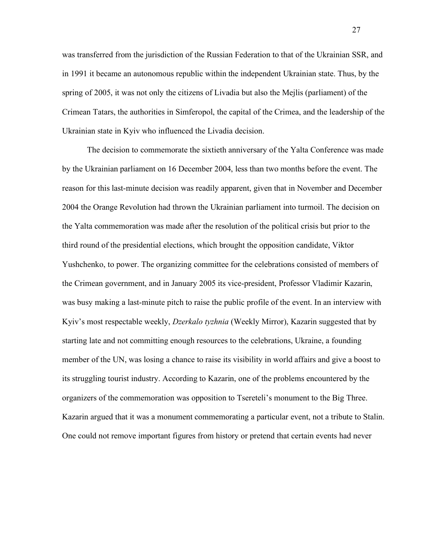was transferred from the jurisdiction of the Russian Federation to that of the Ukrainian SSR, and in 1991 it became an autonomous republic within the independent Ukrainian state. Thus, by the spring of 2005, it was not only the citizens of Livadia but also the Mejlis (parliament) of the Crimean Tatars, the authorities in Simferopol, the capital of the Crimea, and the leadership of the Ukrainian state in Kyiv who influenced the Livadia decision.

The decision to commemorate the sixtieth anniversary of the Yalta Conference was made by the Ukrainian parliament on 16 December 2004, less than two months before the event. The reason for this last-minute decision was readily apparent, given that in November and December 2004 the Orange Revolution had thrown the Ukrainian parliament into turmoil. The decision on the Yalta commemoration was made after the resolution of the political crisis but prior to the third round of the presidential elections, which brought the opposition candidate, Viktor Yushchenko, to power. The organizing committee for the celebrations consisted of members of the Crimean government, and in January 2005 its vice-president, Professor Vladimir Kazarin, was busy making a last-minute pitch to raise the public profile of the event. In an interview with Kyiv's most respectable weekly, *Dzerkalo tyzhnia* (Weekly Mirror), Kazarin suggested that by starting late and not committing enough resources to the celebrations, Ukraine, a founding member of the UN, was losing a chance to raise its visibility in world affairs and give a boost to its struggling tourist industry. According to Kazarin, one of the problems encountered by the organizers of the commemoration was opposition to Tsereteli's monument to the Big Three. Kazarin argued that it was a monument commemorating a particular event, not a tribute to Stalin. One could not remove important figures from history or pretend that certain events had never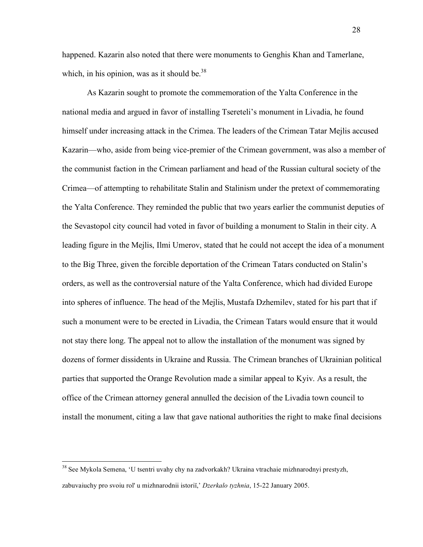happened. Kazarin also noted that there were monuments to Genghis Khan and Tamerlane, which, in his opinion, was as it should be. $38$ 

As Kazarin sought to promote the commemoration of the Yalta Conference in the national media and argued in favor of installing Tsereteli's monument in Livadia, he found himself under increasing attack in the Crimea. The leaders of the Crimean Tatar Mejlis accused Kazarin—who, aside from being vice-premier of the Crimean government, was also a member of the communist faction in the Crimean parliament and head of the Russian cultural society of the Crimea—of attempting to rehabilitate Stalin and Stalinism under the pretext of commemorating the Yalta Conference. They reminded the public that two years earlier the communist deputies of the Sevastopol city council had voted in favor of building a monument to Stalin in their city. A leading figure in the Mejlis, Ilmi Umerov, stated that he could not accept the idea of a monument to the Big Three, given the forcible deportation of the Crimean Tatars conducted on Stalin's orders, as well as the controversial nature of the Yalta Conference, which had divided Europe into spheres of influence. The head of the Mejlis, Mustafa Dzhemilev, stated for his part that if such a monument were to be erected in Livadia, the Crimean Tatars would ensure that it would not stay there long. The appeal not to allow the installation of the monument was signed by dozens of former dissidents in Ukraine and Russia. The Crimean branches of Ukrainian political parties that supported the Orange Revolution made a similar appeal to Kyiv. As a result, the office of the Crimean attorney general annulled the decision of the Livadia town council to install the monument, citing a law that gave national authorities the right to make final decisions

 <sup>38</sup> See Mykola Semena, 'U tsentri uvahy chy na zadvorkakh? Ukraina vtrachaie mizhnarodnyi prestyzh, zabuvaiuchy pro svoiu rol' u mizhnarodnii istoriï,' *Dzerkalo tyzhnia*, 15-22 January 2005.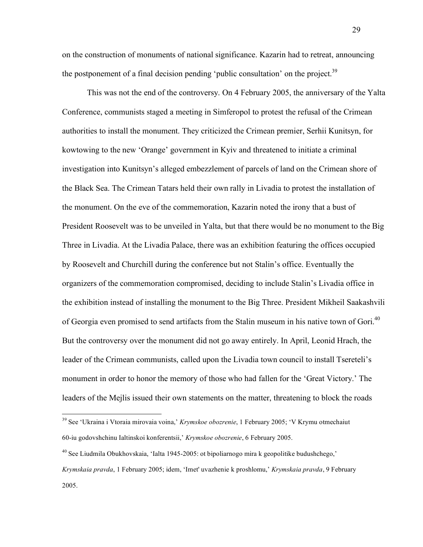on the construction of monuments of national significance. Kazarin had to retreat, announcing the postponement of a final decision pending 'public consultation' on the project.<sup>39</sup>

This was not the end of the controversy. On 4 February 2005, the anniversary of the Yalta Conference, communists staged a meeting in Simferopol to protest the refusal of the Crimean authorities to install the monument. They criticized the Crimean premier, Serhii Kunitsyn, for kowtowing to the new 'Orange' government in Kyiv and threatened to initiate a criminal investigation into Kunitsyn's alleged embezzlement of parcels of land on the Crimean shore of the Black Sea. The Crimean Tatars held their own rally in Livadia to protest the installation of the monument. On the eve of the commemoration, Kazarin noted the irony that a bust of President Roosevelt was to be unveiled in Yalta, but that there would be no monument to the Big Three in Livadia. At the Livadia Palace, there was an exhibition featuring the offices occupied by Roosevelt and Churchill during the conference but not Stalin's office. Eventually the organizers of the commemoration compromised, deciding to include Stalin's Livadia office in the exhibition instead of installing the monument to the Big Three. President Mikheil Saakashvili of Georgia even promised to send artifacts from the Stalin museum in his native town of Gori.<sup>40</sup> But the controversy over the monument did not go away entirely. In April, Leonid Hrach, the leader of the Crimean communists, called upon the Livadia town council to install Tsereteli's monument in order to honor the memory of those who had fallen for the 'Great Victory.' The leaders of the Mejlis issued their own statements on the matter, threatening to block the roads

 <sup>39</sup> See 'Ukraina i Vtoraia mirovaia voina,' *Krymskoe obozrenie*, 1 February 2005; 'V Krymu otmechaiut 60-iu godovshchinu Ialtinskoi konferentsii,' *Krymskoe obozrenie*, 6 February 2005.

<sup>&</sup>lt;sup>40</sup> See Liudmila Obukhovskaia, 'Ialta 1945-2005; ot bipoliarnogo mira k geopolitike budushchego,' *Krymskaia pravda*, 1 February 2005; idem, 'Imet' uvazhenie k proshlomu,' *Krymskaia pravda*, 9 February 2005.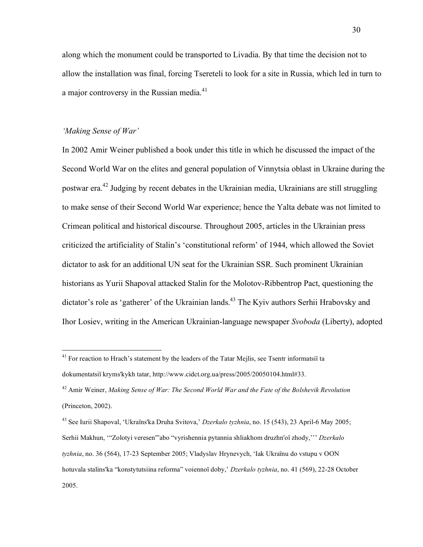along which the monument could be transported to Livadia. By that time the decision not to allow the installation was final, forcing Tsereteli to look for a site in Russia, which led in turn to a major controversy in the Russian media. $41$ 

### *'Making Sense of War'*

In 2002 Amir Weiner published a book under this title in which he discussed the impact of the Second World War on the elites and general population of Vinnytsia oblast in Ukraine during the postwar era.42 Judging by recent debates in the Ukrainian media, Ukrainians are still struggling to make sense of their Second World War experience; hence the Yalta debate was not limited to Crimean political and historical discourse. Throughout 2005, articles in the Ukrainian press criticized the artificiality of Stalin's 'constitutional reform' of 1944, which allowed the Soviet dictator to ask for an additional UN seat for the Ukrainian SSR. Such prominent Ukrainian historians as Yurii Shapoval attacked Stalin for the Molotov-Ribbentrop Pact, questioning the dictator's role as 'gatherer' of the Ukrainian lands.<sup>43</sup> The Kyiv authors Serhii Hrabovsky and Ihor Losiev, writing in the American Ukrainian-language newspaper *Svoboda* (Liberty), adopted

<sup>&</sup>lt;sup>41</sup> For reaction to Hrach's statement by the leaders of the Tatar Mejlis, see Tsentr informatsiï ta dokumentatsiï kryms'kykh tatar, http://www.cidct.org.ua/press/2005/20050104.html#33.

<sup>42</sup> Amir Weiner, *Making Sense of War: The Second World War and the Fate of the Bolshevik Revolution* (Princeton, 2002).

<sup>43</sup> See Iurii Shapoval, 'Ukraïns'ka Druha Svitova,' *Dzerkalo tyzhnia*, no. 15 (543), 23 April-6 May 2005; Serhii Makhun, '"Zolotyi veresen'"abo "vyrishennia pytannia shliakhom druzhn'oï zhody,''' *Dzerkalo tyzhnia*, no. 36 (564), 17-23 September 2005; Vladyslav Hrynevych, 'Iak Ukraïnu do vstupu v OON hotuvala stalins'ka "konstytutsiina reforma" voiennoï doby,' *Dzerkalo tyzhnia*, no. 41 (569), 22-28 October 2005.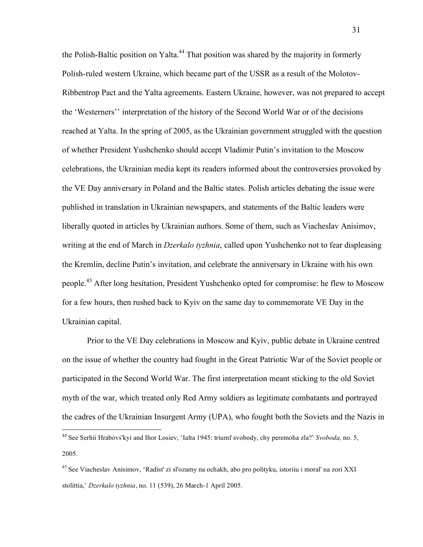the Polish-Baltic position on Yalta.<sup>44</sup> That position was shared by the majority in formerly Polish-ruled western Ukraine, which became part of the USSR as a result of the Molotov-Ribbentrop Pact and the Yalta agreements. Eastern Ukraine, however, was not prepared to accept the 'Westerners'' interpretation of the history of the Second World War or of the decisions reached at Yalta. In the spring of 2005, as the Ukrainian government struggled with the question of whether President Yushchenko should accept Vladimir Putin's invitation to the Moscow celebrations, the Ukrainian media kept its readers informed about the controversies provoked by the VE Day anniversary in Poland and the Baltic states. Polish articles debating the issue were published in translation in Ukrainian newspapers, and statements of the Baltic leaders were liberally quoted in articles by Ukrainian authors. Some of them, such as Viacheslav Anisimov, writing at the end of March in *Dzerkalo tyzhnia*, called upon Yushchenko not to fear displeasing the Kremlin, decline Putin's invitation, and celebrate the anniversary in Ukraine with his own people.45 After long hesitation, President Yushchenko opted for compromise: he flew to Moscow for a few hours, then rushed back to Kyiv on the same day to commemorate VE Day in the Ukrainian capital.

Prior to the VE Day celebrations in Moscow and Kyiv, public debate in Ukraine centred on the issue of whether the country had fought in the Great Patriotic War of the Soviet people or participated in the Second World War. The first interpretation meant sticking to the old Soviet myth of the war, which treated only Red Army soldiers as legitimate combatants and portrayed the cadres of the Ukrainian Insurgent Army (UPA), who fought both the Soviets and the Nazis in

 <sup>44</sup> See Serhii Hrabovs'kyi and Ihor Losiev, 'Ialta 1945: triumf svobody, chy peremoha zla?' *Svoboda,* no. 5, 2005.

<sup>&</sup>lt;sup>45</sup> See Viacheslav Anisimov, 'Radist' zi sl'ozamy na ochakh, abo pro polityku, istoriiu i moral' na zori XXI stolittia,' *Dzerkalo tyzhnia*, no. 11 (539), 26 March-1 April 2005.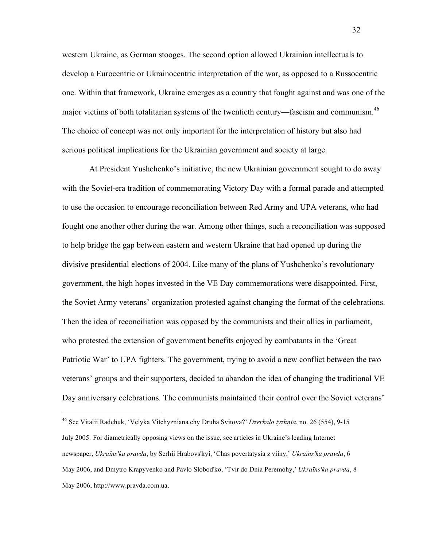western Ukraine, as German stooges. The second option allowed Ukrainian intellectuals to develop a Eurocentric or Ukrainocentric interpretation of the war, as opposed to a Russocentric one. Within that framework, Ukraine emerges as a country that fought against and was one of the major victims of both totalitarian systems of the twentieth century—fascism and communism.46 The choice of concept was not only important for the interpretation of history but also had serious political implications for the Ukrainian government and society at large.

 At President Yushchenko's initiative, the new Ukrainian government sought to do away with the Soviet-era tradition of commemorating Victory Day with a formal parade and attempted to use the occasion to encourage reconciliation between Red Army and UPA veterans, who had fought one another other during the war. Among other things, such a reconciliation was supposed to help bridge the gap between eastern and western Ukraine that had opened up during the divisive presidential elections of 2004. Like many of the plans of Yushchenko's revolutionary government, the high hopes invested in the VE Day commemorations were disappointed. First, the Soviet Army veterans' organization protested against changing the format of the celebrations. Then the idea of reconciliation was opposed by the communists and their allies in parliament, who protested the extension of government benefits enjoyed by combatants in the 'Great Patriotic War' to UPA fighters. The government, trying to avoid a new conflict between the two veterans' groups and their supporters, decided to abandon the idea of changing the traditional VE Day anniversary celebrations. The communists maintained their control over the Soviet veterans'

 <sup>46</sup> See Vitalii Radchuk, 'Velyka Vitchyzniana chy Druha Svitova?' *Dzerkalo tyzhnia*, no. 26 (554), 9-15 July 2005. For diametrically opposing views on the issue, see articles in Ukraine's leading Internet newspaper, *Ukraïns'ka pravda*, by Serhii Hrabovs'kyi, 'Chas povertatysia z viiny,' *Ukraïns'ka pravda*, 6 May 2006, and Dmytro Krapyvenko and Pavlo Slobod'ko, 'Tvir do Dnia Peremohy,' *Ukraïns'ka pravda*, 8 May 2006, http://www.pravda.com.ua.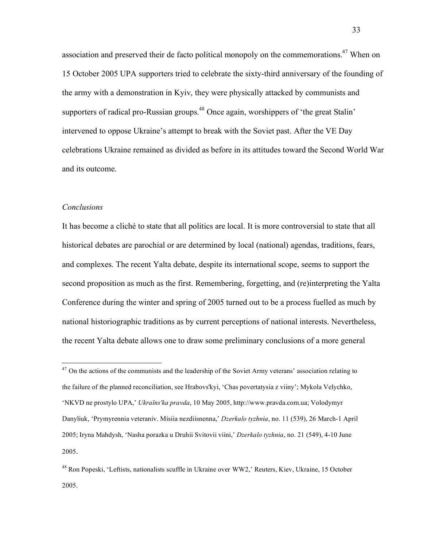association and preserved their de facto political monopoly on the commemorations.<sup>47</sup> When on 15 October 2005 UPA supporters tried to celebrate the sixty-third anniversary of the founding of the army with a demonstration in Kyiv, they were physically attacked by communists and supporters of radical pro-Russian groups.<sup>48</sup> Once again, worshippers of 'the great Stalin' intervened to oppose Ukraine's attempt to break with the Soviet past. After the VE Day celebrations Ukraine remained as divided as before in its attitudes toward the Second World War and its outcome.

#### *Conclusions*

It has become a cliché to state that all politics are local. It is more controversial to state that all historical debates are parochial or are determined by local (national) agendas, traditions, fears, and complexes. The recent Yalta debate, despite its international scope, seems to support the second proposition as much as the first. Remembering, forgetting, and (re)interpreting the Yalta Conference during the winter and spring of 2005 turned out to be a process fuelled as much by national historiographic traditions as by current perceptions of national interests. Nevertheless, the recent Yalta debate allows one to draw some preliminary conclusions of a more general

 $47$  On the actions of the communists and the leadership of the Soviet Army veterans' association relating to the failure of the planned reconciliation, see Hrabovs'kyi, 'Chas povertatysia z viiny'; Mykola Velychko, 'NKVD ne prostylo UPA,' *Ukraïns'ka pravda*, 10 May 2005, http://www.pravda.com.ua; Volodymyr Danyliuk, 'Prymyrennia veteraniv. Misiia nezdiisnenna,' *Dzerkalo tyzhnia*, no. 11 (539), 26 March-1 April 2005; Iryna Mahdysh, 'Nasha porazka u Druhii Svitovii viini,' *Dzerkalo tyzhnia*, no. 21 (549), 4-10 June 2005.

<sup>&</sup>lt;sup>48</sup> Ron Popeski, 'Leftists, nationalists scuffle in Ukraine over WW2,' Reuters, Kiev, Ukraine, 15 October 2005.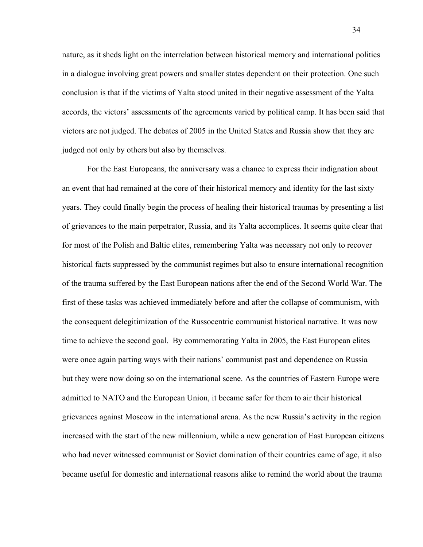nature, as it sheds light on the interrelation between historical memory and international politics in a dialogue involving great powers and smaller states dependent on their protection. One such conclusion is that if the victims of Yalta stood united in their negative assessment of the Yalta accords, the victors' assessments of the agreements varied by political camp. It has been said that victors are not judged. The debates of 2005 in the United States and Russia show that they are judged not only by others but also by themselves.

For the East Europeans, the anniversary was a chance to express their indignation about an event that had remained at the core of their historical memory and identity for the last sixty years. They could finally begin the process of healing their historical traumas by presenting a list of grievances to the main perpetrator, Russia, and its Yalta accomplices. It seems quite clear that for most of the Polish and Baltic elites, remembering Yalta was necessary not only to recover historical facts suppressed by the communist regimes but also to ensure international recognition of the trauma suffered by the East European nations after the end of the Second World War. The first of these tasks was achieved immediately before and after the collapse of communism, with the consequent delegitimization of the Russocentric communist historical narrative. It was now time to achieve the second goal. By commemorating Yalta in 2005, the East European elites were once again parting ways with their nations' communist past and dependence on Russia but they were now doing so on the international scene. As the countries of Eastern Europe were admitted to NATO and the European Union, it became safer for them to air their historical grievances against Moscow in the international arena. As the new Russia's activity in the region increased with the start of the new millennium, while a new generation of East European citizens who had never witnessed communist or Soviet domination of their countries came of age, it also became useful for domestic and international reasons alike to remind the world about the trauma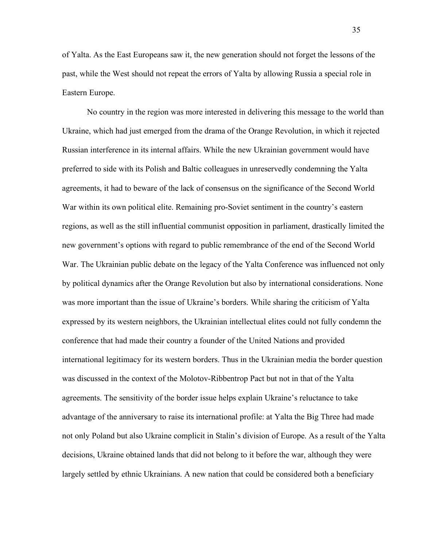of Yalta. As the East Europeans saw it, the new generation should not forget the lessons of the past, while the West should not repeat the errors of Yalta by allowing Russia a special role in Eastern Europe.

No country in the region was more interested in delivering this message to the world than Ukraine, which had just emerged from the drama of the Orange Revolution, in which it rejected Russian interference in its internal affairs. While the new Ukrainian government would have preferred to side with its Polish and Baltic colleagues in unreservedly condemning the Yalta agreements, it had to beware of the lack of consensus on the significance of the Second World War within its own political elite. Remaining pro-Soviet sentiment in the country's eastern regions, as well as the still influential communist opposition in parliament, drastically limited the new government's options with regard to public remembrance of the end of the Second World War. The Ukrainian public debate on the legacy of the Yalta Conference was influenced not only by political dynamics after the Orange Revolution but also by international considerations. None was more important than the issue of Ukraine's borders. While sharing the criticism of Yalta expressed by its western neighbors, the Ukrainian intellectual elites could not fully condemn the conference that had made their country a founder of the United Nations and provided international legitimacy for its western borders. Thus in the Ukrainian media the border question was discussed in the context of the Molotov-Ribbentrop Pact but not in that of the Yalta agreements. The sensitivity of the border issue helps explain Ukraine's reluctance to take advantage of the anniversary to raise its international profile: at Yalta the Big Three had made not only Poland but also Ukraine complicit in Stalin's division of Europe. As a result of the Yalta decisions, Ukraine obtained lands that did not belong to it before the war, although they were largely settled by ethnic Ukrainians. A new nation that could be considered both a beneficiary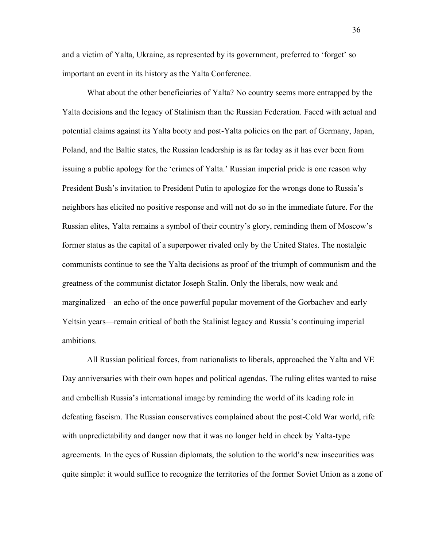and a victim of Yalta, Ukraine, as represented by its government, preferred to 'forget' so important an event in its history as the Yalta Conference.

What about the other beneficiaries of Yalta? No country seems more entrapped by the Yalta decisions and the legacy of Stalinism than the Russian Federation. Faced with actual and potential claims against its Yalta booty and post-Yalta policies on the part of Germany, Japan, Poland, and the Baltic states, the Russian leadership is as far today as it has ever been from issuing a public apology for the 'crimes of Yalta.' Russian imperial pride is one reason why President Bush's invitation to President Putin to apologize for the wrongs done to Russia's neighbors has elicited no positive response and will not do so in the immediate future. For the Russian elites, Yalta remains a symbol of their country's glory, reminding them of Moscow's former status as the capital of a superpower rivaled only by the United States. The nostalgic communists continue to see the Yalta decisions as proof of the triumph of communism and the greatness of the communist dictator Joseph Stalin. Only the liberals, now weak and marginalized—an echo of the once powerful popular movement of the Gorbachev and early Yeltsin years—remain critical of both the Stalinist legacy and Russia's continuing imperial ambitions.

All Russian political forces, from nationalists to liberals, approached the Yalta and VE Day anniversaries with their own hopes and political agendas. The ruling elites wanted to raise and embellish Russia's international image by reminding the world of its leading role in defeating fascism. The Russian conservatives complained about the post-Cold War world, rife with unpredictability and danger now that it was no longer held in check by Yalta-type agreements. In the eyes of Russian diplomats, the solution to the world's new insecurities was quite simple: it would suffice to recognize the territories of the former Soviet Union as a zone of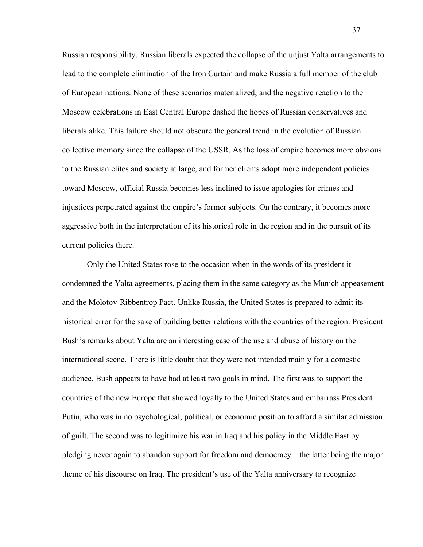Russian responsibility. Russian liberals expected the collapse of the unjust Yalta arrangements to lead to the complete elimination of the Iron Curtain and make Russia a full member of the club of European nations. None of these scenarios materialized, and the negative reaction to the Moscow celebrations in East Central Europe dashed the hopes of Russian conservatives and liberals alike. This failure should not obscure the general trend in the evolution of Russian collective memory since the collapse of the USSR. As the loss of empire becomes more obvious to the Russian elites and society at large, and former clients adopt more independent policies toward Moscow, official Russia becomes less inclined to issue apologies for crimes and injustices perpetrated against the empire's former subjects. On the contrary, it becomes more aggressive both in the interpretation of its historical role in the region and in the pursuit of its current policies there.

Only the United States rose to the occasion when in the words of its president it condemned the Yalta agreements, placing them in the same category as the Munich appeasement and the Molotov-Ribbentrop Pact. Unlike Russia, the United States is prepared to admit its historical error for the sake of building better relations with the countries of the region. President Bush's remarks about Yalta are an interesting case of the use and abuse of history on the international scene. There is little doubt that they were not intended mainly for a domestic audience. Bush appears to have had at least two goals in mind. The first was to support the countries of the new Europe that showed loyalty to the United States and embarrass President Putin, who was in no psychological, political, or economic position to afford a similar admission of guilt. The second was to legitimize his war in Iraq and his policy in the Middle East by pledging never again to abandon support for freedom and democracy—the latter being the major theme of his discourse on Iraq. The president's use of the Yalta anniversary to recognize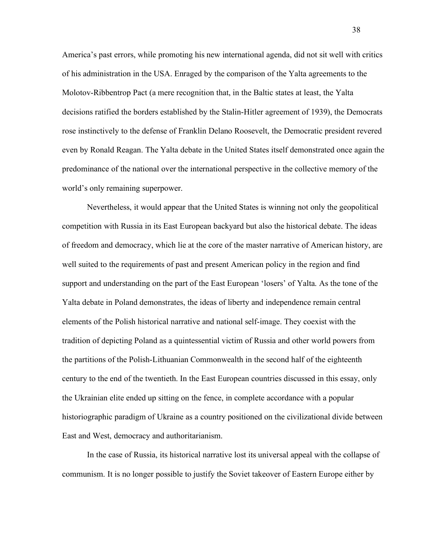America's past errors, while promoting his new international agenda, did not sit well with critics of his administration in the USA. Enraged by the comparison of the Yalta agreements to the Molotov-Ribbentrop Pact (a mere recognition that, in the Baltic states at least, the Yalta decisions ratified the borders established by the Stalin-Hitler agreement of 1939), the Democrats rose instinctively to the defense of Franklin Delano Roosevelt, the Democratic president revered even by Ronald Reagan. The Yalta debate in the United States itself demonstrated once again the predominance of the national over the international perspective in the collective memory of the world's only remaining superpower.

Nevertheless, it would appear that the United States is winning not only the geopolitical competition with Russia in its East European backyard but also the historical debate. The ideas of freedom and democracy, which lie at the core of the master narrative of American history, are well suited to the requirements of past and present American policy in the region and find support and understanding on the part of the East European 'losers' of Yalta. As the tone of the Yalta debate in Poland demonstrates, the ideas of liberty and independence remain central elements of the Polish historical narrative and national self-image. They coexist with the tradition of depicting Poland as a quintessential victim of Russia and other world powers from the partitions of the Polish-Lithuanian Commonwealth in the second half of the eighteenth century to the end of the twentieth. In the East European countries discussed in this essay, only the Ukrainian elite ended up sitting on the fence, in complete accordance with a popular historiographic paradigm of Ukraine as a country positioned on the civilizational divide between East and West, democracy and authoritarianism.

In the case of Russia, its historical narrative lost its universal appeal with the collapse of communism. It is no longer possible to justify the Soviet takeover of Eastern Europe either by

38